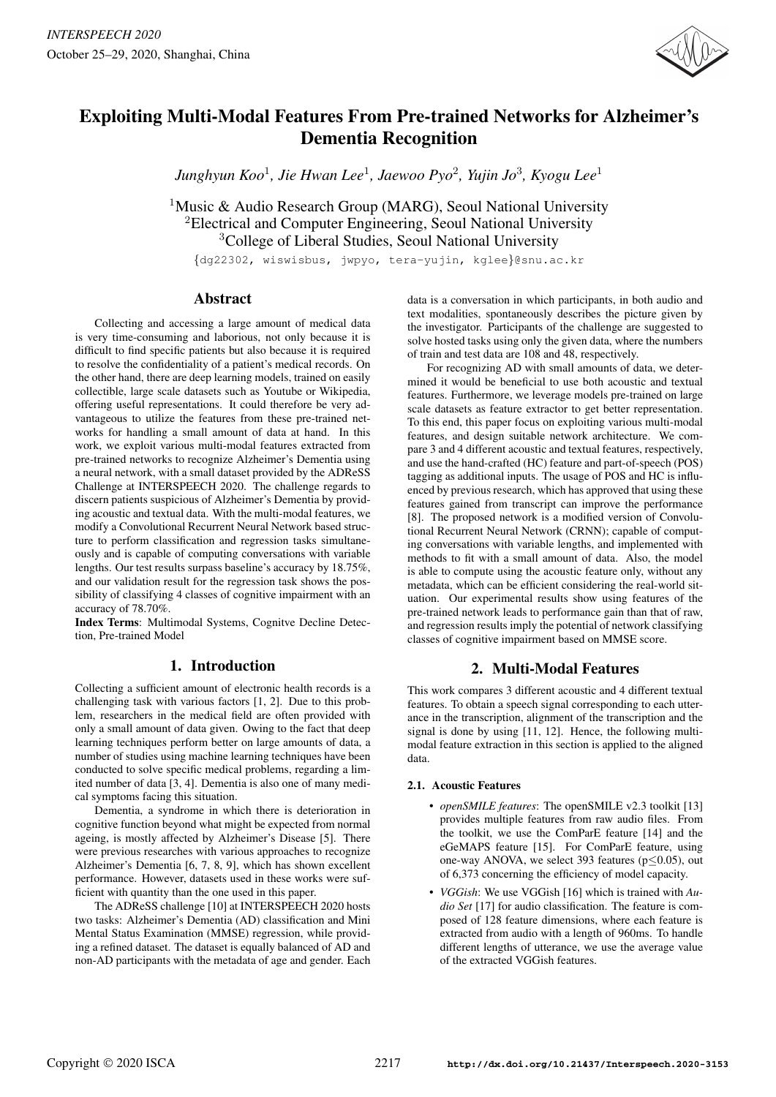

# Exploiting Multi-Modal Features From Pre-trained Networks for Alzheimer's Dementia Recognition

*Junghyun Koo*<sup>1</sup> *, Jie Hwan Lee*<sup>1</sup> *, Jaewoo Pyo*<sup>2</sup> *, Yujin Jo*<sup>3</sup> *, Kyogu Lee*<sup>1</sup>

<sup>1</sup>Music & Audio Research Group (MARG), Seoul National University <sup>2</sup>Electrical and Computer Engineering, Seoul National University <sup>3</sup>College of Liberal Studies, Seoul National University

{dg22302, wiswisbus, jwpyo, tera-yujin, kglee}@snu.ac.kr

## Abstract

Collecting and accessing a large amount of medical data is very time-consuming and laborious, not only because it is difficult to find specific patients but also because it is required to resolve the confidentiality of a patient's medical records. On the other hand, there are deep learning models, trained on easily collectible, large scale datasets such as Youtube or Wikipedia, offering useful representations. It could therefore be very advantageous to utilize the features from these pre-trained networks for handling a small amount of data at hand. In this work, we exploit various multi-modal features extracted from pre-trained networks to recognize Alzheimer's Dementia using a neural network, with a small dataset provided by the ADReSS Challenge at INTERSPEECH 2020. The challenge regards to discern patients suspicious of Alzheimer's Dementia by providing acoustic and textual data. With the multi-modal features, we modify a Convolutional Recurrent Neural Network based structure to perform classification and regression tasks simultaneously and is capable of computing conversations with variable lengths. Our test results surpass baseline's accuracy by 18.75%, and our validation result for the regression task shows the possibility of classifying 4 classes of cognitive impairment with an accuracy of 78.70%.

Index Terms: Multimodal Systems, Cognitve Decline Detection, Pre-trained Model

# 1. Introduction

Collecting a sufficient amount of electronic health records is a challenging task with various factors [1, 2]. Due to this problem, researchers in the medical field are often provided with only a small amount of data given. Owing to the fact that deep learning techniques perform better on large amounts of data, a number of studies using machine learning techniques have been conducted to solve specific medical problems, regarding a limited number of data [3, 4]. Dementia is also one of many medical symptoms facing this situation.

Dementia, a syndrome in which there is deterioration in cognitive function beyond what might be expected from normal ageing, is mostly affected by Alzheimer's Disease [5]. There were previous researches with various approaches to recognize Alzheimer's Dementia [6, 7, 8, 9], which has shown excellent performance. However, datasets used in these works were sufficient with quantity than the one used in this paper.

The ADReSS challenge [10] at INTERSPEECH 2020 hosts two tasks: Alzheimer's Dementia (AD) classification and Mini Mental Status Examination (MMSE) regression, while providing a refined dataset. The dataset is equally balanced of AD and non-AD participants with the metadata of age and gender. Each data is a conversation in which participants, in both audio and text modalities, spontaneously describes the picture given by the investigator. Participants of the challenge are suggested to solve hosted tasks using only the given data, where the numbers of train and test data are 108 and 48, respectively.

For recognizing AD with small amounts of data, we determined it would be beneficial to use both acoustic and textual features. Furthermore, we leverage models pre-trained on large scale datasets as feature extractor to get better representation. To this end, this paper focus on exploiting various multi-modal features, and design suitable network architecture. We compare 3 and 4 different acoustic and textual features, respectively, and use the hand-crafted (HC) feature and part-of-speech (POS) tagging as additional inputs. The usage of POS and HC is influenced by previous research, which has approved that using these features gained from transcript can improve the performance [8]. The proposed network is a modified version of Convolutional Recurrent Neural Network (CRNN); capable of computing conversations with variable lengths, and implemented with methods to fit with a small amount of data. Also, the model is able to compute using the acoustic feature only, without any metadata, which can be efficient considering the real-world situation. Our experimental results show using features of the pre-trained network leads to performance gain than that of raw, and regression results imply the potential of network classifying classes of cognitive impairment based on MMSE score.

# 2. Multi-Modal Features

This work compares 3 different acoustic and 4 different textual features. To obtain a speech signal corresponding to each utterance in the transcription, alignment of the transcription and the signal is done by using [11, 12]. Hence, the following multimodal feature extraction in this section is applied to the aligned data.

## 2.1. Acoustic Features

- *openSMILE features*: The openSMILE v2.3 toolkit [13] provides multiple features from raw audio files. From the toolkit, we use the ComParE feature [14] and the eGeMAPS feature [15]. For ComParE feature, using one-way ANOVA, we select 393 features (p≤0.05), out of 6,373 concerning the efficiency of model capacity.
- *VGGish*: We use VGGish [16] which is trained with *Audio Set* [17] for audio classification. The feature is composed of 128 feature dimensions, where each feature is extracted from audio with a length of 960ms. To handle different lengths of utterance, we use the average value of the extracted VGGish features.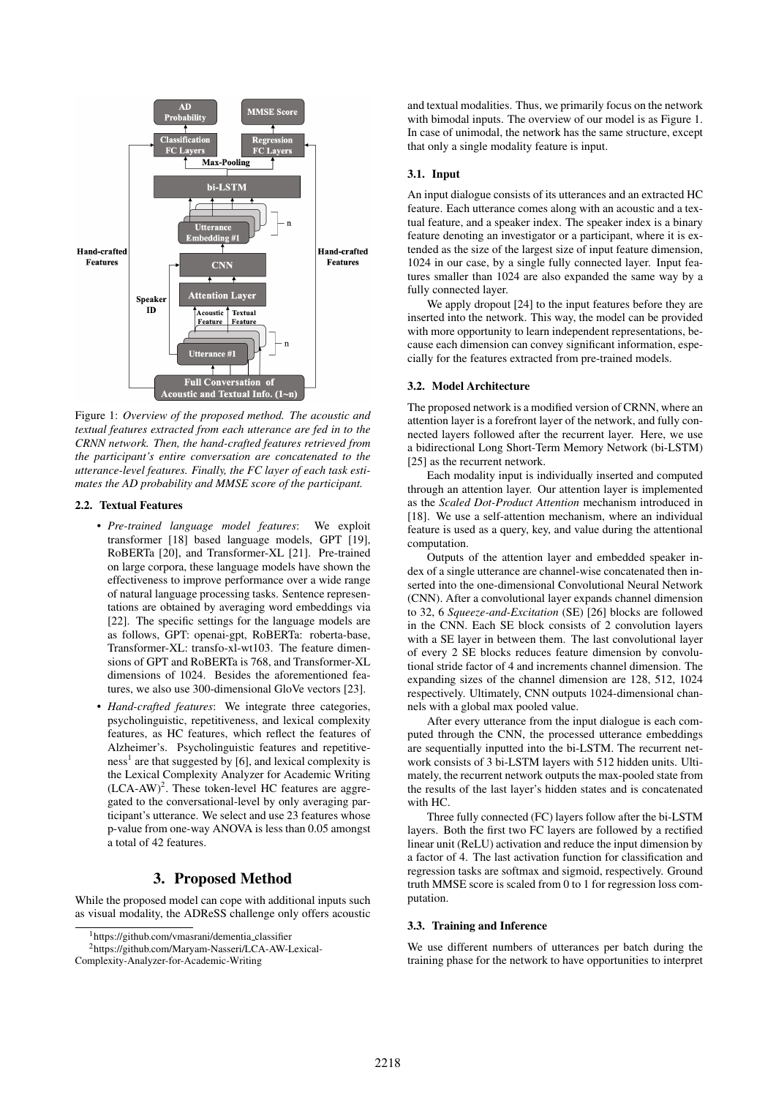

Figure 1: *Overview of the proposed method. The acoustic and textual features extracted from each utterance are fed in to the CRNN network. Then, the hand-crafted features retrieved from the participant's entire conversation are concatenated to the utterance-level features. Finally, the FC layer of each task estimates the AD probability and MMSE score of the participant.*

### 2.2. Textual Features

- *Pre-trained language model features*: We exploit transformer [18] based language models, GPT [19], RoBERTa [20], and Transformer-XL [21]. Pre-trained on large corpora, these language models have shown the effectiveness to improve performance over a wide range of natural language processing tasks. Sentence representations are obtained by averaging word embeddings via [22]. The specific settings for the language models are as follows, GPT: openai-gpt, RoBERTa: roberta-base, Transformer-XL: transfo-xl-wt103. The feature dimensions of GPT and RoBERTa is 768, and Transformer-XL dimensions of 1024. Besides the aforementioned features, we also use 300-dimensional GloVe vectors [23].
- *Hand-crafted features*: We integrate three categories, psycholinguistic, repetitiveness, and lexical complexity features, as HC features, which reflect the features of Alzheimer's. Psycholinguistic features and repetitive $ness<sup>1</sup>$  are that suggested by [6], and lexical complexity is the Lexical Complexity Analyzer for Academic Writing  $(LCA-AW)^2$ . These token-level HC features are aggregated to the conversational-level by only averaging participant's utterance. We select and use 23 features whose p-value from one-way ANOVA is less than 0.05 amongst a total of 42 features.

## 3. Proposed Method

While the proposed model can cope with additional inputs such as visual modality, the ADReSS challenge only offers acoustic

Complexity-Analyzer-for-Academic-Writing

and textual modalities. Thus, we primarily focus on the network with bimodal inputs. The overview of our model is as Figure 1. In case of unimodal, the network has the same structure, except that only a single modality feature is input.

## 3.1. Input

An input dialogue consists of its utterances and an extracted HC feature. Each utterance comes along with an acoustic and a textual feature, and a speaker index. The speaker index is a binary feature denoting an investigator or a participant, where it is extended as the size of the largest size of input feature dimension, 1024 in our case, by a single fully connected layer. Input features smaller than 1024 are also expanded the same way by a fully connected layer.

We apply dropout [24] to the input features before they are inserted into the network. This way, the model can be provided with more opportunity to learn independent representations, because each dimension can convey significant information, especially for the features extracted from pre-trained models.

#### 3.2. Model Architecture

The proposed network is a modified version of CRNN, where an attention layer is a forefront layer of the network, and fully connected layers followed after the recurrent layer. Here, we use a bidirectional Long Short-Term Memory Network (bi-LSTM) [25] as the recurrent network.

Each modality input is individually inserted and computed through an attention layer. Our attention layer is implemented as the *Scaled Dot-Product Attention* mechanism introduced in [18]. We use a self-attention mechanism, where an individual feature is used as a query, key, and value during the attentional computation.

Outputs of the attention layer and embedded speaker index of a single utterance are channel-wise concatenated then inserted into the one-dimensional Convolutional Neural Network (CNN). After a convolutional layer expands channel dimension to 32, 6 *Squeeze-and-Excitation* (SE) [26] blocks are followed in the CNN. Each SE block consists of 2 convolution layers with a SE layer in between them. The last convolutional layer of every 2 SE blocks reduces feature dimension by convolutional stride factor of 4 and increments channel dimension. The expanding sizes of the channel dimension are 128, 512, 1024 respectively. Ultimately, CNN outputs 1024-dimensional channels with a global max pooled value.

After every utterance from the input dialogue is each computed through the CNN, the processed utterance embeddings are sequentially inputted into the bi-LSTM. The recurrent network consists of 3 bi-LSTM layers with 512 hidden units. Ultimately, the recurrent network outputs the max-pooled state from the results of the last layer's hidden states and is concatenated with HC.

Three fully connected (FC) layers follow after the bi-LSTM layers. Both the first two FC layers are followed by a rectified linear unit (ReLU) activation and reduce the input dimension by a factor of 4. The last activation function for classification and regression tasks are softmax and sigmoid, respectively. Ground truth MMSE score is scaled from 0 to 1 for regression loss computation.

### 3.3. Training and Inference

We use different numbers of utterances per batch during the training phase for the network to have opportunities to interpret

<sup>1</sup>https://github.com/vmasrani/dementia classifier

<sup>2</sup>https://github.com/Maryam-Nasseri/LCA-AW-Lexical-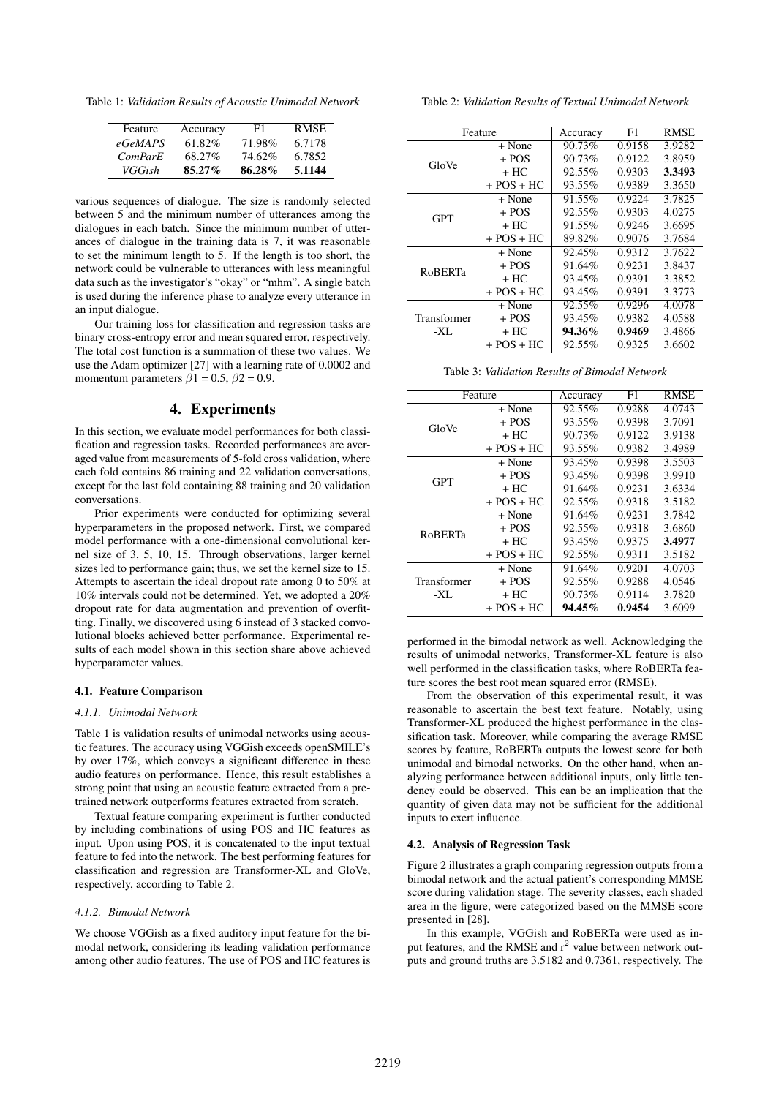Table 1: *Validation Results of Acoustic Unimodal Network*

| Feature | Accuracy  | F1     | <b>RMSE</b> |
|---------|-----------|--------|-------------|
| eGeMAPS | $61.82\%$ | 71.98% | 6.7178      |
| ComParE | 68.27%    | 74.62% | 6.7852      |
| VGGish  | $85.27\%$ | 86.28% | 5.1144      |

various sequences of dialogue. The size is randomly selected between 5 and the minimum number of utterances among the dialogues in each batch. Since the minimum number of utterances of dialogue in the training data is 7, it was reasonable to set the minimum length to 5. If the length is too short, the network could be vulnerable to utterances with less meaningful data such as the investigator's "okay" or "mhm". A single batch is used during the inference phase to analyze every utterance in an input dialogue.

Our training loss for classification and regression tasks are binary cross-entropy error and mean squared error, respectively. The total cost function is a summation of these two values. We use the Adam optimizer [27] with a learning rate of 0.0002 and momentum parameters  $\beta$ 1 = 0.5,  $\beta$ 2 = 0.9.

## 4. Experiments

In this section, we evaluate model performances for both classification and regression tasks. Recorded performances are averaged value from measurements of 5-fold cross validation, where each fold contains 86 training and 22 validation conversations, except for the last fold containing 88 training and 20 validation conversations.

Prior experiments were conducted for optimizing several hyperparameters in the proposed network. First, we compared model performance with a one-dimensional convolutional kernel size of 3, 5, 10, 15. Through observations, larger kernel sizes led to performance gain; thus, we set the kernel size to 15. Attempts to ascertain the ideal dropout rate among 0 to 50% at 10% intervals could not be determined. Yet, we adopted a 20% dropout rate for data augmentation and prevention of overfitting. Finally, we discovered using 6 instead of 3 stacked convolutional blocks achieved better performance. Experimental results of each model shown in this section share above achieved hyperparameter values.

#### 4.1. Feature Comparison

#### *4.1.1. Unimodal Network*

Table 1 is validation results of unimodal networks using acoustic features. The accuracy using VGGish exceeds openSMILE's by over 17%, which conveys a significant difference in these audio features on performance. Hence, this result establishes a strong point that using an acoustic feature extracted from a pretrained network outperforms features extracted from scratch.

Textual feature comparing experiment is further conducted by including combinations of using POS and HC features as input. Upon using POS, it is concatenated to the input textual feature to fed into the network. The best performing features for classification and regression are Transformer-XL and GloVe, respectively, according to Table 2.

#### *4.1.2. Bimodal Network*

We choose VGGish as a fixed auditory input feature for the bimodal network, considering its leading validation performance among other audio features. The use of POS and HC features is

Table 2: *Validation Results of Textual Unimodal Network*

| Feature              |                | Accuracy | F1     | <b>RMSE</b> |
|----------------------|----------------|----------|--------|-------------|
| GloVe                | + None         | 90.73%   | 0.9158 | 3.9282      |
|                      | $+$ POS        | 90.73%   | 0.9122 | 3.8959      |
|                      | + HC           | 92.55%   | 0.9303 | 3.3493      |
|                      | $+$ POS $+$ HC | 93.55%   | 0.9389 | 3.3650      |
| <b>GPT</b>           | + None         | 91.55%   | 0.9224 | 3.7825      |
|                      | $+$ POS        | 92.55%   | 0.9303 | 4.0275      |
|                      | $+$ HC.        | 91.55%   | 0.9246 | 3.6695      |
|                      | $+$ POS $+$ HC | 89.82%   | 0.9076 | 3.7684      |
|                      | + None         | 92.45%   | 0.9312 | 3.7622      |
|                      | $+$ POS        | 91.64%   | 0.9231 | 3.8437      |
| <b>ROBERTa</b>       | + HC           | 93.45%   | 0.9391 | 3.3852      |
|                      | $+$ POS + HC   | 93.45%   | 0.9391 | 3.3773      |
| Transformer<br>$-XL$ | + None         | 92.55%   | 0.9296 | 4.0078      |
|                      | $+$ POS        | 93.45%   | 0.9382 | 4.0588      |
|                      | + HC           | 94.36%   | 0.9469 | 3.4866      |
|                      | $+$ POS $+$ HC | 92.55%   | 0.9325 | 3.6602      |

| Feature            |                | Accuracy | F1     | <b>RMSE</b> |
|--------------------|----------------|----------|--------|-------------|
| GloVe              | + None         | 92.55%   | 0.9288 | 4.0743      |
|                    | + POS          | 93.55%   | 0.9398 | 3.7091      |
|                    | + HC           | 90.73%   | 0.9122 | 3.9138      |
|                    | $+$ POS $+$ HC | 93.55%   | 0.9382 | 3.4989      |
| <b>GPT</b>         | + None         | 93.45%   | 0.9398 | 3.5503      |
|                    | $+$ POS        | 93.45%   | 0.9398 | 3.9910      |
|                    | + HC           | 91.64%   | 0.9231 | 3.6334      |
|                    | $+$ POS $+$ HC | 92.55%   | 0.9318 | 3.5182      |
|                    | + None         | 91.64%   | 0.9231 | 3.7842      |
| <b>ROBERTa</b>     | + POS          | 92.55%   | 0.9318 | 3.6860      |
|                    | + HC           | 93.45%   | 0.9375 | 3.4977      |
|                    | $+$ POS $+$ HC | 92.55%   | 0.9311 | 3.5182      |
| Transformer<br>-XL | + None         | 91.64%   | 0.9201 | 4.0703      |
|                    | + POS          | 92.55%   | 0.9288 | 4.0546      |
|                    | + HC           | 90.73%   | 0.9114 | 3.7820      |
|                    | $+$ POS $+$ HC | 94.45%   | 0.9454 | 3.6099      |

performed in the bimodal network as well. Acknowledging the results of unimodal networks, Transformer-XL feature is also well performed in the classification tasks, where RoBERTa feature scores the best root mean squared error (RMSE).

From the observation of this experimental result, it was reasonable to ascertain the best text feature. Notably, using Transformer-XL produced the highest performance in the classification task. Moreover, while comparing the average RMSE scores by feature, RoBERTa outputs the lowest score for both unimodal and bimodal networks. On the other hand, when analyzing performance between additional inputs, only little tendency could be observed. This can be an implication that the quantity of given data may not be sufficient for the additional inputs to exert influence.

#### 4.2. Analysis of Regression Task

Figure 2 illustrates a graph comparing regression outputs from a bimodal network and the actual patient's corresponding MMSE score during validation stage. The severity classes, each shaded area in the figure, were categorized based on the MMSE score presented in [28].

In this example, VGGish and RoBERTa were used as input features, and the RMSE and  $r^2$  value between network outputs and ground truths are 3.5182 and 0.7361, respectively. The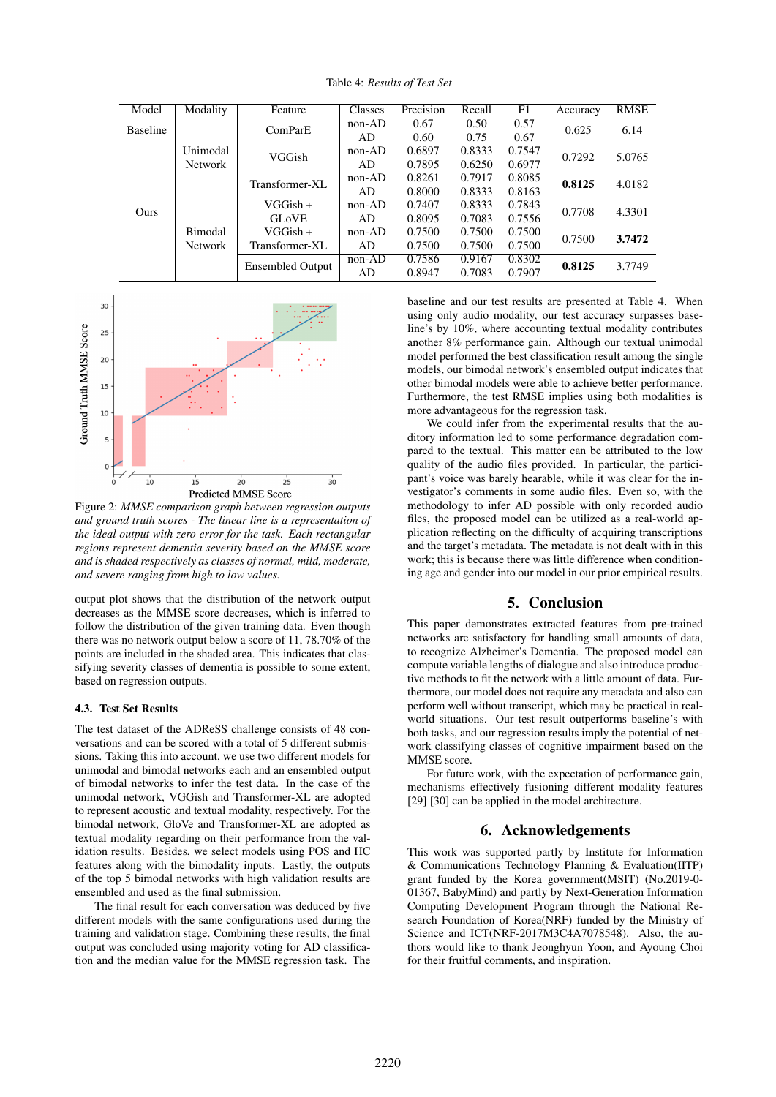| Model           | Modality       | Feature                 | Classes  | Precision | Recall | F1     | Accuracy | <b>RMSE</b> |
|-----------------|----------------|-------------------------|----------|-----------|--------|--------|----------|-------------|
| <b>Baseline</b> |                | ComParE                 | $non-AD$ | 0.67      | 0.50   | 0.57   | 0.625    | 6.14        |
|                 |                |                         | AD       | 0.60      | 0.75   | 0.67   |          |             |
|                 | Unimodal       | VGGish                  | $non-AD$ | 0.6897    | 0.8333 | 0.7547 | 0.7292   | 5.0765      |
|                 | <b>Network</b> |                         | AD.      | 0.7895    | 0.6250 | 0.6977 |          |             |
|                 |                | Transformer-XL          | $non-AD$ | 0.8261    | 0.7917 | 0.8085 | 0.8125   | 4.0182      |
|                 |                |                         | AD.      | 0.8000    | 0.8333 | 0.8163 |          |             |
| Ours            |                | $VGGish +$              | $non-AD$ | 0.7407    | 0.8333 | 0.7843 | 0.7708   | 4.3301      |
|                 |                | <b>GLOVE</b>            | AD       | 0.8095    | 0.7083 | 0.7556 |          |             |
|                 | <b>Bimodal</b> | VGGish +                | $non-AD$ | 0.7500    | 0.7500 | 0.7500 | 0.7500   | 3.7472      |
|                 | <b>Network</b> | Transformer-XL          | AD       | 0.7500    | 0.7500 | 0.7500 |          |             |
|                 |                | <b>Ensembled Output</b> | $non-AD$ | 0.7586    | 0.9167 | 0.8302 | 0.8125   | 3.7749      |
|                 |                |                         | AD       | 0.8947    | 0.7083 | 0.7907 |          |             |

Table 4: *Results of Test Set*



Figure 2: *MMSE comparison graph between regression outputs and ground truth scores - The linear line is a representation of the ideal output with zero error for the task. Each rectangular regions represent dementia severity based on the MMSE score and is shaded respectively as classes of normal, mild, moderate, and severe ranging from high to low values.*

output plot shows that the distribution of the network output decreases as the MMSE score decreases, which is inferred to follow the distribution of the given training data. Even though there was no network output below a score of 11, 78.70% of the points are included in the shaded area. This indicates that classifying severity classes of dementia is possible to some extent, based on regression outputs.

#### 4.3. Test Set Results

The test dataset of the ADReSS challenge consists of 48 conversations and can be scored with a total of 5 different submissions. Taking this into account, we use two different models for unimodal and bimodal networks each and an ensembled output of bimodal networks to infer the test data. In the case of the unimodal network, VGGish and Transformer-XL are adopted to represent acoustic and textual modality, respectively. For the bimodal network, GloVe and Transformer-XL are adopted as textual modality regarding on their performance from the validation results. Besides, we select models using POS and HC features along with the bimodality inputs. Lastly, the outputs of the top 5 bimodal networks with high validation results are ensembled and used as the final submission.

The final result for each conversation was deduced by five different models with the same configurations used during the training and validation stage. Combining these results, the final output was concluded using majority voting for AD classification and the median value for the MMSE regression task. The baseline and our test results are presented at Table 4. When using only audio modality, our test accuracy surpasses baseline's by 10%, where accounting textual modality contributes another 8% performance gain. Although our textual unimodal model performed the best classification result among the single models, our bimodal network's ensembled output indicates that other bimodal models were able to achieve better performance. Furthermore, the test RMSE implies using both modalities is more advantageous for the regression task.

We could infer from the experimental results that the auditory information led to some performance degradation compared to the textual. This matter can be attributed to the low quality of the audio files provided. In particular, the participant's voice was barely hearable, while it was clear for the investigator's comments in some audio files. Even so, with the methodology to infer AD possible with only recorded audio files, the proposed model can be utilized as a real-world application reflecting on the difficulty of acquiring transcriptions and the target's metadata. The metadata is not dealt with in this work; this is because there was little difference when conditioning age and gender into our model in our prior empirical results.

## 5. Conclusion

This paper demonstrates extracted features from pre-trained networks are satisfactory for handling small amounts of data, to recognize Alzheimer's Dementia. The proposed model can compute variable lengths of dialogue and also introduce productive methods to fit the network with a little amount of data. Furthermore, our model does not require any metadata and also can perform well without transcript, which may be practical in realworld situations. Our test result outperforms baseline's with both tasks, and our regression results imply the potential of network classifying classes of cognitive impairment based on the MMSE score.

For future work, with the expectation of performance gain, mechanisms effectively fusioning different modality features [29] [30] can be applied in the model architecture.

# 6. Acknowledgements

This work was supported partly by Institute for Information & Communications Technology Planning & Evaluation(IITP) grant funded by the Korea government(MSIT) (No.2019-0- 01367, BabyMind) and partly by Next-Generation Information Computing Development Program through the National Research Foundation of Korea(NRF) funded by the Ministry of Science and ICT(NRF-2017M3C4A7078548). Also, the authors would like to thank Jeonghyun Yoon, and Ayoung Choi for their fruitful comments, and inspiration.